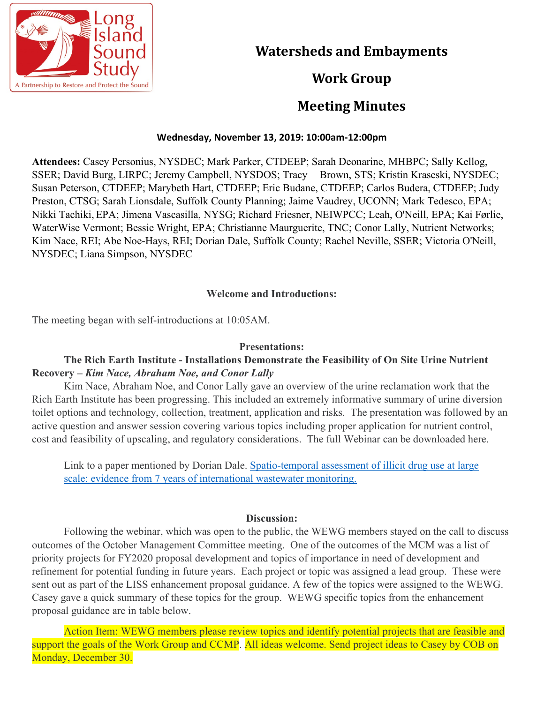

# **Watersheds and Embayments**

# **Work Group**

## **Meeting Minutes**

### **Wednesday, November 13, 2019: 10:00am-12:00pm**

**Attendees:** Casey Personius, NYSDEC; Mark Parker, CTDEEP; Sarah Deonarine, MHBPC; Sally Kellog, SSER; David Burg, LIRPC; Jeremy Campbell, NYSDOS; Tracy Brown, STS; Kristin Kraseski, NYSDEC; Susan Peterson, CTDEEP; Marybeth Hart, CTDEEP; Eric Budane, CTDEEP; Carlos Budera, CTDEEP; Judy Preston, CTSG; Sarah Lionsdale, Suffolk County Planning; Jaime Vaudrey, UCONN; Mark Tedesco, EPA; Nikki Tachiki, EPA; Jimena Vascasilla, NYSG; Richard Friesner, NEIWPCC; Leah, O'Neill, EPA; Kai Førlie, WaterWise Vermont; Bessie Wright, EPA; Christianne Maurguerite, TNC; Conor Lally, Nutrient Networks; Kim Nace, REI; Abe Noe-Hays, REI; Dorian Dale, Suffolk County; Rachel Neville, SSER; Victoria O'Neill, NYSDEC; Liana Simpson, NYSDEC

### **Welcome and Introductions:**

The meeting began with self-introductions at 10:05AM.

#### **Presentations:**

### **The Rich Earth Institute - Installations Demonstrate the Feasibility of On Site Urine Nutrient Recovery –** *Kim Nace, Abraham Noe, and Conor Lally*

Kim Nace, Abraham Noe, and Conor Lally gave an overview of the urine reclamation work that the Rich Earth Institute has been progressing. This included an extremely informative summary of urine diversion toilet options and technology, collection, treatment, application and risks. The presentation was followed by an active question and answer session covering various topics including proper application for nutrient control, cost and feasibility of upscaling, and regulatory considerations. The full Webinar can be downloaded here.

Link to a paper mentioned by Dorian Dale. [Spatio-temporal assessment of illicit drug use at large](https://onlinelibrary.wiley.com/doi/full/10.1111/add.14767) [scale: evidence from 7 years of international wastewater monitoring.](https://onlinelibrary.wiley.com/doi/full/10.1111/add.14767)

#### **Discussion:**

Following the webinar, which was open to the public, the WEWG members stayed on the call to discuss outcomes of the October Management Committee meeting. One of the outcomes of the MCM was a list of priority projects for FY2020 proposal development and topics of importance in need of development and refinement for potential funding in future years. Each project or topic was assigned a lead group. These were sent out as part of the LISS enhancement proposal guidance. A few of the topics were assigned to the WEWG. Casey gave a quick summary of these topics for the group. WEWG specific topics from the enhancement proposal guidance are in table below.

Action Item: WEWG members please review topics and identify potential projects that are feasible and support the goals of the Work Group and CCMP. All ideas welcome. Send project ideas to Casey by COB on Monday, December 30.